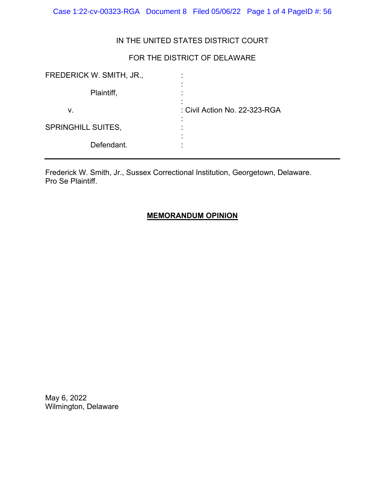Case 1:22-cv-00323-RGA Document 8 Filed 05/06/22 Page 1 of 4 PageID #: 56

## IN THE UNITED STATES DISTRICT COURT

# FOR THE DISTRICT OF DELAWARE

| FREDERICK W. SMITH, JR.,  |                               |
|---------------------------|-------------------------------|
| Plaintiff,                |                               |
| v.                        | : Civil Action No. 22-323-RGA |
| <b>SPRINGHILL SUITES,</b> |                               |
| Defendant.                |                               |

Frederick W. Smith, Jr., Sussex Correctional Institution, Georgetown, Delaware. Pro Se Plaintiff.

## **MEMORANDUM OPINION**

May 6, 2022 Wilmington, Delaware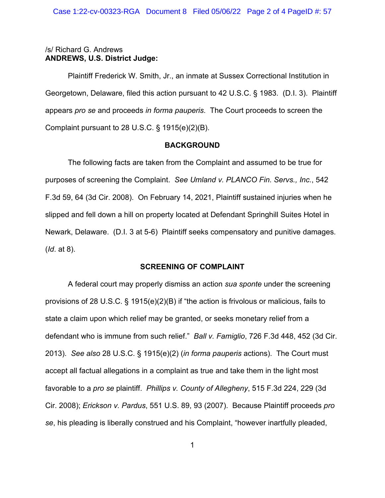### /s/ Richard G. Andrews **ANDREWS, U.S. District Judge:**

Plaintiff Frederick W. Smith, Jr., an inmate at Sussex Correctional Institution in Georgetown, Delaware, filed this action pursuant to 42 U.S.C. § 1983. (D.I. 3). Plaintiff appears *pro se* and proceeds *in forma pauperis*. The Court proceeds to screen the Complaint pursuant to 28 U.S.C. § 1915(e)(2)(B).

### **BACKGROUND**

The following facts are taken from the Complaint and assumed to be true for purposes of screening the Complaint. *See Umland v. PLANCO Fin. Servs., Inc.*, 542 F.3d 59, 64 (3d Cir. 2008). On February 14, 2021, Plaintiff sustained injuries when he slipped and fell down a hill on property located at Defendant Springhill Suites Hotel in Newark, Delaware. (D.I. 3 at 5-6) Plaintiff seeks compensatory and punitive damages. (*Id*. at 8).

## **SCREENING OF COMPLAINT**

A federal court may properly dismiss an action *sua sponte* under the screening provisions of 28 U.S.C. § 1915(e)(2)(B) if "the action is frivolous or malicious, fails to state a claim upon which relief may be granted, or seeks monetary relief from a defendant who is immune from such relief." *Ball v. Famiglio*, 726 F.3d 448, 452 (3d Cir. 2013). *See also* 28 U.S.C. § 1915(e)(2) (*in forma pauperis* actions). The Court must accept all factual allegations in a complaint as true and take them in the light most favorable to a *pro se* plaintiff. *Phillips v. County of Allegheny*, 515 F.3d 224, 229 (3d Cir. 2008); *Erickson v. Pardus*, 551 U.S. 89, 93 (2007). Because Plaintiff proceeds *pro se*, his pleading is liberally construed and his Complaint, "however inartfully pleaded,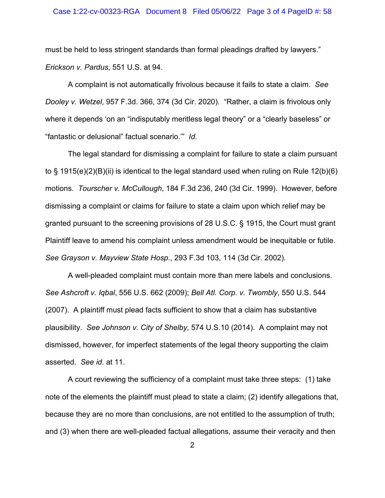#### Case 1:22-cv-00323-RGA Document 8 Filed 05/06/22 Page 3 of 4 PageID #: 58

must be held to less stringent standards than formal pleadings drafted by lawyers." *Erickson v. Pardus*, 551 U.S. at 94.

A complaint is not automatically frivolous because it fails to state a claim. *See Dooley v. Wetzel*, 957 F.3d. 366, 374 (3d Cir. 2020). "Rather, a claim is frivolous only where it depends 'on an "indisputably meritless legal theory" or a "clearly baseless" or "fantastic or delusional" factual scenario.'" *Id*.

The legal standard for dismissing a complaint for failure to state a claim pursuant to § 1915(e)(2)(B)(ii) is identical to the legal standard used when ruling on Rule 12(b)(6) motions. *Tourscher v. McCullough*, 184 F.3d 236, 240 (3d Cir. 1999). However, before dismissing a complaint or claims for failure to state a claim upon which relief may be granted pursuant to the screening provisions of 28 U.S.C. § 1915, the Court must grant Plaintiff leave to amend his complaint unless amendment would be inequitable or futile. *See Grayson v. Mayview State Hosp.*, 293 F.3d 103, 114 (3d Cir. 2002).

A well-pleaded complaint must contain more than mere labels and conclusions. *See Ashcroft v. Iqbal*, 556 U.S. 662 (2009); *Bell Atl. Corp. v. Twombly*, 550 U.S. 544 (2007). A plaintiff must plead facts sufficient to show that a claim has substantive plausibility. *See Johnson v. City of Shelby*, 574 U.S.10 (2014). A complaint may not dismissed, however, for imperfect statements of the legal theory supporting the claim asserted. *See id*. at 11.

A court reviewing the sufficiency of a complaint must take three steps: (1) take note of the elements the plaintiff must plead to state a claim; (2) identify allegations that, because they are no more than conclusions, are not entitled to the assumption of truth; and (3) when there are well-pleaded factual allegations, assume their veracity and then

2